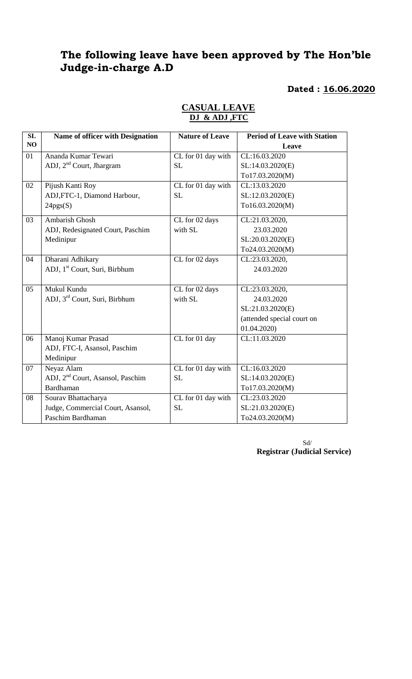# **The following leave have been approved by The Hon'ble Judge-in-charge A.D**

 **Dated : 16.06.2020**

| SL | Name of officer with Designation             | <b>Nature of Leave</b> | <b>Period of Leave with Station</b> |
|----|----------------------------------------------|------------------------|-------------------------------------|
| NO |                                              |                        | Leave                               |
| 01 | Ananda Kumar Tewari                          | CL for 01 day with     | CL:16.03.2020                       |
|    | ADJ, 2 <sup>nd</sup> Court, Jhargram         | <b>SL</b>              | SL:14.03.2020(E)                    |
|    |                                              |                        | To17.03.2020(M)                     |
| 02 | Pijush Kanti Roy                             | CL for 01 day with     | CL:13.03.2020                       |
|    | ADJ, FTC-1, Diamond Harbour,                 | <b>SL</b>              | SL:12.03.2020(E)                    |
|    | 24pgs(S)                                     |                        | To16.03.2020(M)                     |
| 03 | <b>Ambarish Ghosh</b>                        | CL for 02 days         | CL:21.03.2020,                      |
|    | ADJ, Redesignated Court, Paschim             | with SL                | 23.03.2020                          |
|    | Medinipur                                    |                        | SL:20.03.2020(E)                    |
|    |                                              |                        | To24.03.2020(M)                     |
| 04 | Dharani Adhikary                             | CL for 02 days         | CL:23.03.2020,                      |
|    | ADJ, 1 <sup>st</sup> Court, Suri, Birbhum    |                        | 24.03.2020                          |
|    |                                              |                        |                                     |
| 05 | Mukul Kundu                                  | CL for 02 days         | CL:23.03.2020,                      |
|    | ADJ, 3rd Court, Suri, Birbhum                | with SL                | 24.03.2020                          |
|    |                                              |                        | SL:21.03.2020(E)                    |
|    |                                              |                        | (attended special court on          |
|    |                                              |                        | 01.04.2020                          |
| 06 | Manoj Kumar Prasad                           | CL for 01 day          | CL:11.03.2020                       |
|    | ADJ, FTC-I, Asansol, Paschim                 |                        |                                     |
|    | Medinipur                                    |                        |                                     |
| 07 | Neyaz Alam                                   | CL for 01 day with     | CL:16.03.2020                       |
|    | ADJ, 2 <sup>nd</sup> Court, Asansol, Paschim | <b>SL</b>              | SL:14.03.2020(E)                    |
|    | Bardhaman                                    |                        | To17.03.2020(M)                     |
| 08 | Sourav Bhattacharya                          | CL for 01 day with     | CL:23.03.2020                       |
|    | Judge, Commercial Court, Asansol,            | <b>SL</b>              | SL:21.03.2020(E)                    |
|    | Paschim Bardhaman                            |                        | To24.03.2020(M)                     |

# **CASUAL LEAVE DJ & ADJ ,FTC**

Sd/ **Registrar (Judicial Service)**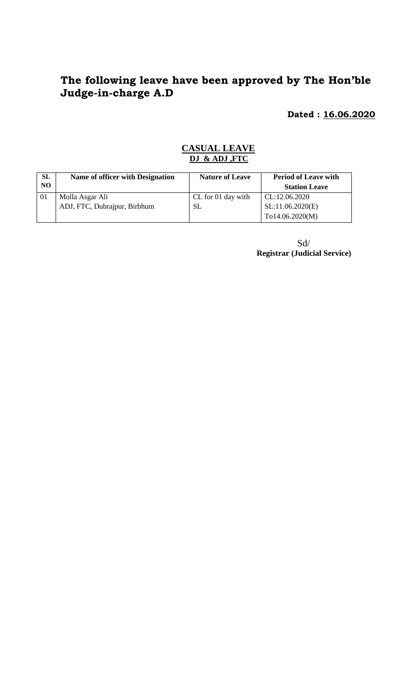# **The following leave have been approved by The Hon'ble Judge-in-charge A.D**

 **Dated : 16.06.2020**

### **CASUAL LEAVE DJ & ADJ ,FTC**

| <b>SL</b>      | Name of officer with Designation | <b>Nature of Leave</b> | <b>Period of Leave with</b> |
|----------------|----------------------------------|------------------------|-----------------------------|
| N <sub>O</sub> |                                  |                        | <b>Station Leave</b>        |
| 01             | Molla Asgar Ali                  | CL for 01 day with     | CL:12.06.2020               |
|                | ADJ, FTC, Dubrajpur, Birbhum     | SL                     | SL:11.06.2020(E)            |
|                |                                  |                        | To14.06.2020(M)             |

 Sd/ **Registrar (Judicial Service)**